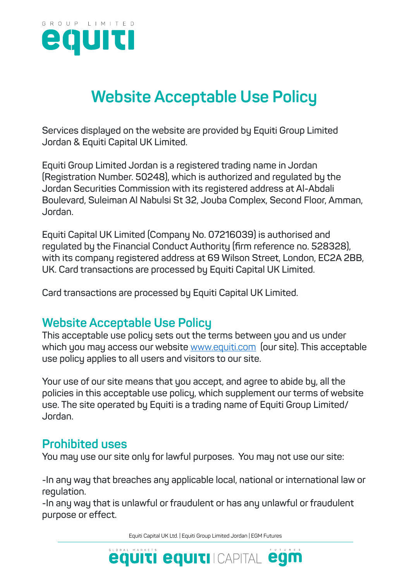

# **Website Acceptable Use Policy**

**Services displayed on the website are provided by Equiti Group Limited Jordan & Equiti Capital UK Limited.**

**Equiti Group Limited Jordan is a registered trading name in Jordan (Registration Number. 50248), which is authorized and regulated by the Jordan Securities Commission with its registered address at Al-Abdali Boulevard, Suleiman Al Nabulsi St 32, Jouba Complex, Second Floor, Amman, Jordan.**

**Equiti Capital UK Limited (Company No. 07216039) is authorised and regulated by the Financial Conduct Authority (firm reference no. 528328), with its company registered address at 69 Wilson Street, London, EC2A 2BB, UK. Card transactions are processed by Equiti Capital UK Limited.**

**Card transactions are processed by Equiti Capital UK Limited.**

# **Website Acceptable Use Policy**

**This acceptable use policy sets out the terms between you and us under which you may access our website** www.equiti.com **(our site). This acceptable use policy applies to all users and visitors to our site.**

**Your use of our site means that you accept, and agree to abide by, all the policies in this acceptable use policy, which supplement our terms of website use. The site operated by Equiti is a trading name of Equiti Group Limited/ Jordan.**

# **Prohibited uses**

**You may use our site only for lawful purposes. You may not use our site:**

**-In any way that breaches any applicable local, national or international law or regulation.**

**-In any way that is unlawful or fraudulent or has any unlawful or fraudulent purpose or effect.**

Equiti Capital UK Ltd. | Equiti Group Limited Jordan | EGM Futures

**equiti equiti CAPITAL egm**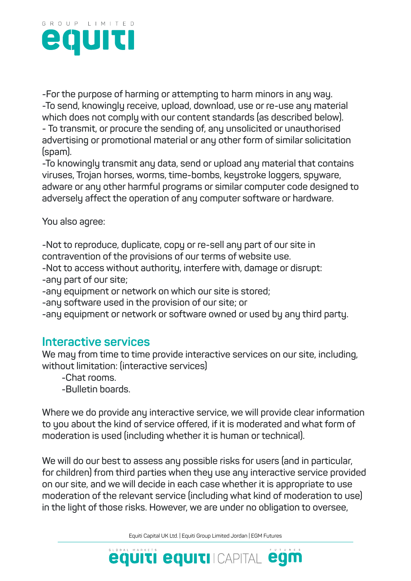

**-For the purpose of harming or attempting to harm minors in any way. -To send, knowingly receive, upload, download, use or re-use any material which does not comply with our content standards (as described below). - To transmit, or procure the sending of, any unsolicited or unauthorised** 

**advertising or promotional material or any other form of similar solicitation (spam).**

**-To knowingly transmit any data, send or upload any material that contains viruses, Trojan horses, worms, time-bombs, keystroke loggers, spyware, adware or any other harmful programs or similar computer code designed to adversely affect the operation of any computer software or hardware.**

**You also agree:**

**-Not to reproduce, duplicate, copy or re-sell any part of our site in contravention of the provisions of our terms of website use.**

**-Not to access without authority, interfere with, damage or disrupt:**

**-any part of our site;**

**-any equipment or network on which our site is stored;**

**-any software used in the provision of our site; or**

**-any equipment or network or software owned or used by any third party.**

#### **Interactive services**

**We may from time to time provide interactive services on our site, including, without limitation: (interactive services)**

**-Chat rooms.**

**-Bulletin boards.**

**Where we do provide any interactive service, we will provide clear information to you about the kind of service offered, if it is moderated and what form of moderation is used (including whether it is human or technical).**

**We will do our best to assess any possible risks for users (and in particular, for children) from third parties when they use any interactive service provided on our site, and we will decide in each case whether it is appropriate to use moderation of the relevant service (including what kind of moderation to use) in the light of those risks. However, we are under no obligation to oversee,**

Equiti Capital UK Ltd. | Equiti Group Limited Jordan | EGM Futures

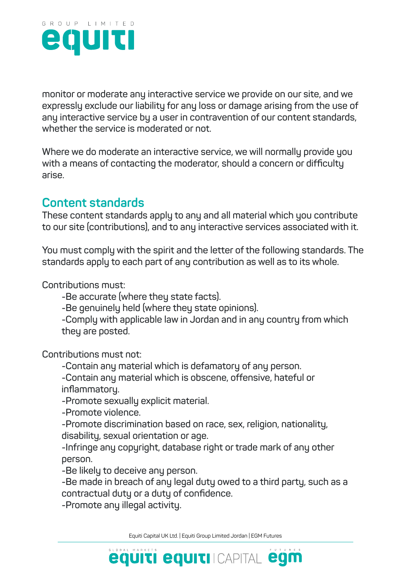

**monitor or moderate any interactive service we provide on our site, and we expressly exclude our liability for any loss or damage arising from the use of any interactive service by a user in contravention of our content standards, whether the service is moderated or not.**

**Where we do moderate an interactive service, we will normally provide you with a means of contacting the moderator, should a concern or difficulty arise.**

# **Content standards**

**These content standards apply to any and all material which you contribute to our site (contributions), and to any interactive services associated with it.**

**You must comply with the spirit and the letter of the following standards. The standards apply to each part of any contribution as well as to its whole.**

**Contributions must:**

**-Be accurate (where they state facts).**

**-Be genuinely held (where they state opinions).**

**-Comply with applicable law in Jordan and in any country from which they are posted.**

**Contributions must not:**

**-Contain any material which is defamatory of any person.**

**-Contain any material which is obscene, offensive, hateful or inflammatory.**

**-Promote sexually explicit material.**

**-Promote violence.**

**-Promote discrimination based on race, sex, religion, nationality, disability, sexual orientation or age.**

**-Infringe any copyright, database right or trade mark of any other person.**

**-Be likely to deceive any person.**

**-Be made in breach of any legal duty owed to a third party, such as a contractual duty or a duty of confidence.**

**-Promote any illegal activity.**

Equiti Capital UK Ltd. | Equiti Group Limited Jordan | EGM Futures

**equiti equiti CAPITAL egm**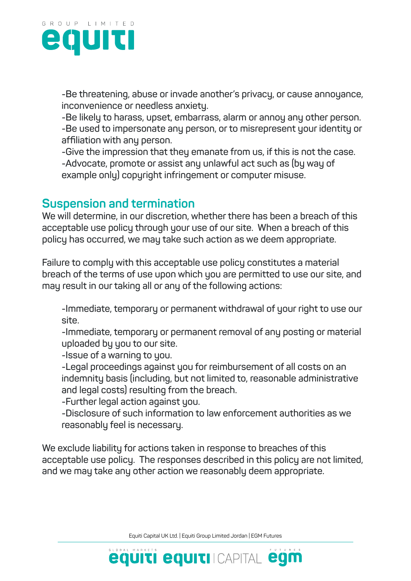

**-Be threatening, abuse or invade another's privacy, or cause annoyance, inconvenience or needless anxiety.**

**-Be likely to harass, upset, embarrass, alarm or annoy any other person. -Be used to impersonate any person, or to misrepresent your identity or affiliation with any person.**

**-Give the impression that they emanate from us, if this is not the case. -Advocate, promote or assist any unlawful act such as (by way of example only) copyright infringement or computer misuse.**

## **Suspension and termination**

**We will determine, in our discretion, whether there has been a breach of this acceptable use policy through your use of our site. When a breach of this policy has occurred, we may take such action as we deem appropriate.** 

**Failure to comply with this acceptable use policy constitutes a material breach of the terms of use upon which you are permitted to use our site, and may result in our taking all or any of the following actions:**

**-Immediate, temporary or permanent withdrawal of your right to use our site.**

**-Immediate, temporary or permanent removal of any posting or material uploaded by you to our site.**

**-Issue of a warning to you.**

**-Legal proceedings against you for reimbursement of all costs on an indemnity basis (including, but not limited to, reasonable administrative and legal costs) resulting from the breach.**

**-Further legal action against you.**

**-Disclosure of such information to law enforcement authorities as we reasonably feel is necessary.**

**We exclude liability for actions taken in response to breaches of this acceptable use policy. The responses described in this policy are not limited, and we may take any other action we reasonably deem appropriate.**

Equiti Capital UK Ltd. | Equiti Group Limited Jordan | EGM Futures